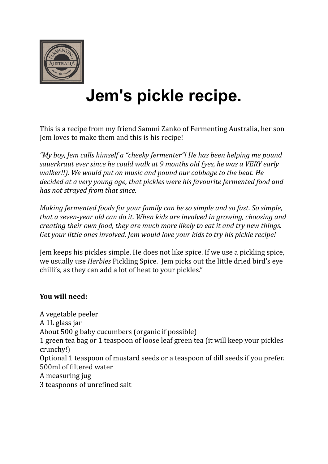

## **Jem's pickle recipe.**

This is a recipe from my friend Sammi Zanko of Fermenting Australia, her son Iem loves to make them and this is his recipe!

*"My boy, Jem calls himself a "cheeky fermenter"! He has been helping me pound sauerkraut ever since he could walk at* 9 months old (yes, he was a VERY early *walker!!).* We would put on music and pound our cabbage to the beat. He decided at a very young age, that pickles were his favourite fermented food and has not strayed from that since.

*Making fermented foods for your family can be so simple and so fast. So simple, that a seven-year old can do it. When kids are involved in growing, choosing and creating their own food, they are much more likely to eat it and try new things.* Get your little ones involved. Jem would love your kids to try his pickle recipe!

Jem keeps his pickles simple. He does not like spice. If we use a pickling spice, we usually use *Herbies* Pickling Spice. Jem picks out the little dried bird's eye chilli's, as they can add a lot of heat to your pickles."

## **You will need:**

A vegetable peeler A 1L glass jar About  $500$  g baby cucumbers (organic if possible) 1 green tea bag or 1 teaspoon of loose leaf green tea (it will keep your pickles crunchy!) Optional 1 teaspoon of mustard seeds or a teaspoon of dill seeds if you prefer. 500ml of filtered water A measuring jug 3 teaspoons of unrefined salt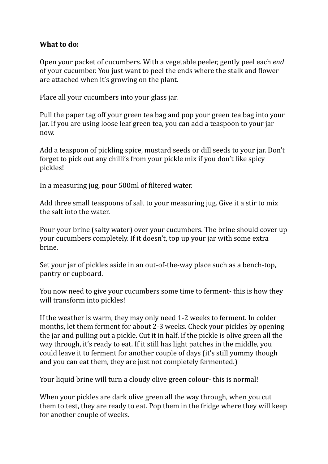## **What to do:**

Open your packet of cucumbers. With a vegetable peeler, gently peel each *end* of your cucumber. You just want to peel the ends where the stalk and flower are attached when it's growing on the plant.

Place all your cucumbers into your glass jar.

Pull the paper tag off your green tea bag and pop your green tea bag into your jar. If you are using loose leaf green tea, you can add a teaspoon to your jar now. 

Add a teaspoon of pickling spice, mustard seeds or dill seeds to your jar. Don't forget to pick out any chilli's from your pickle mix if you don't like spicy pickles! 

In a measuring jug, pour 500ml of filtered water.

Add three small teaspoons of salt to your measuring jug. Give it a stir to mix the salt into the water.

Pour your brine (salty water) over your cucumbers. The brine should cover up your cucumbers completely. If it doesn't, top up your jar with some extra brine. 

Set your jar of pickles aside in an out-of-the-way place such as a bench-top, pantry or cupboard.

You now need to give your cucumbers some time to ferment- this is how they will transform into pickles!

If the weather is warm, they may only need 1-2 weeks to ferment. In colder months, let them ferment for about 2-3 weeks. Check your pickles by opening the jar and pulling out a pickle. Cut it in half. If the pickle is olive green all the way through, it's ready to eat. If it still has light patches in the middle, you could leave it to ferment for another couple of days (it's still yummy though and you can eat them, they are just not completely fermented.)

Your liquid brine will turn a cloudy olive green colour- this is normal!

When your pickles are dark olive green all the way through, when you cut them to test, they are ready to eat. Pop them in the fridge where they will keep for another couple of weeks.